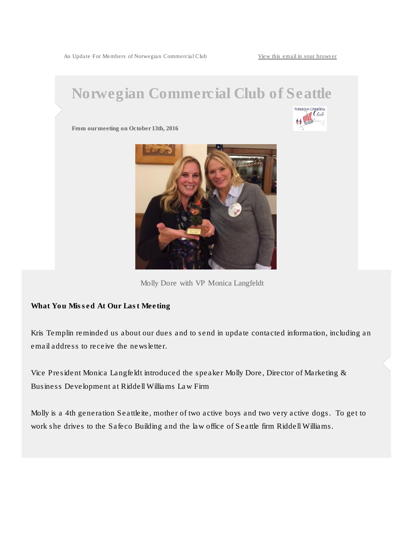An Update For Members of Norwegian Commercial Club [View this email in your browser](*|ARCHIVE|*)



Molly Dore with VP Monica Langfeldt

What You Missed At Our Last Meeting

Kris Templin reminded us about our dues and to send in update contacted information, including an email address to receive the newsletter.

Vice President Monica Langfeldt introduced the speaker Molly Dore, Director of Marketing & Business Development at Riddell Williams Law Firm

Molly is a 4th generation Seattleite, mother of two active boys and two very active dogs. To get to work she drives to the Safeco Building and the law office of Seattle firm Riddell Williams.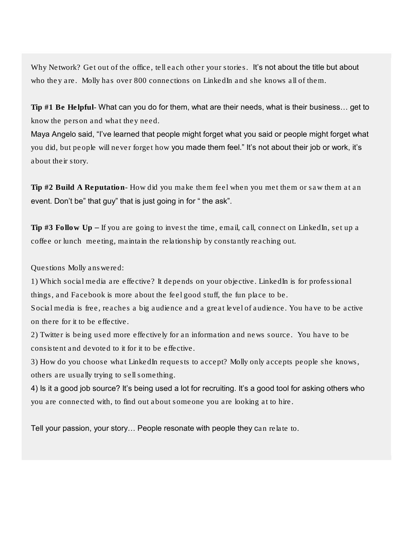Why Network? Get out of the office, tell each other your stories. It's not about the title but about who they are. Molly has over 800 connections on LinkedIn and she knows all of them.

Tip #1 Be Helpful- What can you do for them, what are their needs, what is their business… get to know the person and what they need.

Maya Angelo said, "I've learned that people might forget what you said or people might forget what you did, but people will never forget how you made them feel." It's not about their job or work, it's about their story.

Tip #2 Build A Reputation- How did you make them feel when you met them or saw them at an event. Don't be" that guy" that is just going in for " the ask".

Tip  $#3$  Follow Up – If you are going to invest the time, email, call, connect on LinkedIn, set up a coffee or lunch meeting, maintain the relationship by constantly reaching out.

Questions Molly answered:

1) Which social media are effective? It depends on your objective. LinkedIn is for professional things, and Facebook is more about the feel good stuff, the fun place to be.

Social media is free, reaches a big audience and a great level of audience. You have to be active on there for it to be effective.

2) Twitter is being used more effectively for an information and news source. You have to be consistent and devoted to it for it to be effective.

3) How do you choose what LinkedIn requests to accept? Molly only accepts people she knows, others are usually trying to sell something.

4) Is it a good job source? It's being used a lot for recruiting. It's a good tool for asking others who you are connected with, to find out about someone you are looking at to hire.

Tell your passion, your story… People resonate with people they can relate to.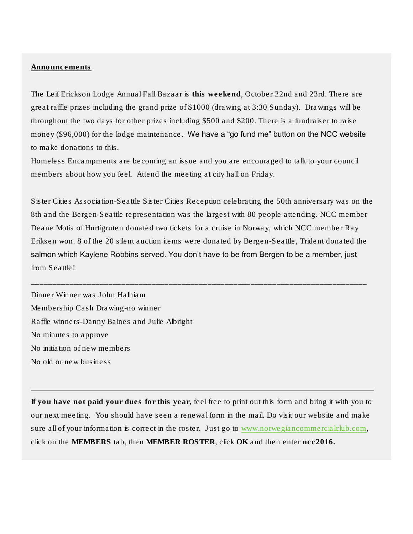## Announcements

The Leif Erickson Lodge Annual Fall Bazaar is this weekend, October 22nd and 23rd. There are great raffle prizes including the grand prize of \$1000 (drawing at 3:30 Sunday). Drawings will be throughout the two days for other prizes including \$500 and \$200. There is a fundraiser to raise money (\$96,000) for the lodge maintenance. We have a "go fund me" button on the NCC website to make donations to this.

Homeless Encampments are becoming an issue and you are encouraged to talk to your council members about how you feel. Attend the meeting at city hall on Friday.

Sister Cities Association-Seattle Sister Cities Reception celebrating the 50th anniversary was on the 8th and the Bergen-Seattle representation was the largest with 80 people attending. NCC member Deane Motis of Hurtigruten donated two tickets for a cruise in Norway, which NCC member Ray Eriksen won. 8 of the 20 silent auction items were donated by Bergen-Seattle, Trident donated the salmon which Kaylene Robbins served. You don't have to be from Bergen to be a member, just from Seattle!

\_\_\_\_\_\_\_\_\_\_\_\_\_\_\_\_\_\_\_\_\_\_\_\_\_\_\_\_\_\_\_\_\_\_\_\_\_\_\_\_\_\_\_\_\_\_\_\_\_\_\_\_\_\_\_\_\_\_\_\_\_\_\_\_\_\_\_\_\_\_\_\_\_\_\_\_\_\_

Dinner Winner was John Halhiam Membership Cash Drawing-no winner Raffle winners-Danny Baines and Julie Albright No minutes to approve No initiation of new members No old or new business

If you have not paid your dues for this year, feel free to print out this form and bring it with you to our next meeting. You should have seen a renewal form in the mail. Do visit our website and make sure all of your information is correct in the roster. Just go to [www.norwegiancommercialclub.com,](http://www.norwegiancommercialclub.com/) click on the MEMBERS tab, then MEMBER ROSTER, click OK and then enter ncc2016.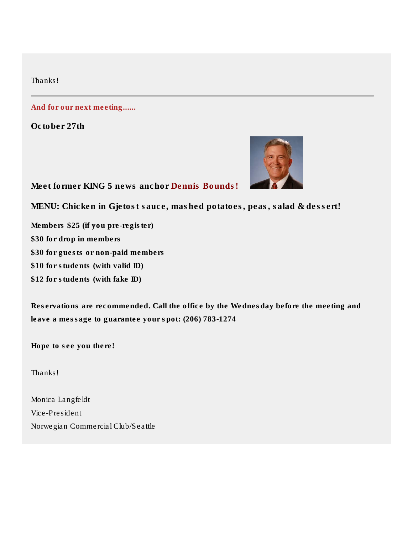Thanks!

And for our next meeting......

October 27th



MENU: Chicken in Gjetost sauce, mashed potatoes, peas, salad & dessert!

Members \$25 (if you pre-register) \$30 for drop in members \$30 for guests or non-paid members \$10 for students (with valid ID) \$12 for students (with fake ID)

Reservations are recommended. Call the office by the Wednesday before the meeting and leave a message to guarantee your spot: (206) 783-1274

Hope to see you there!

Thanks!

Monica Langfeldt Vice-President Norwegian Commercial Club/Seattle